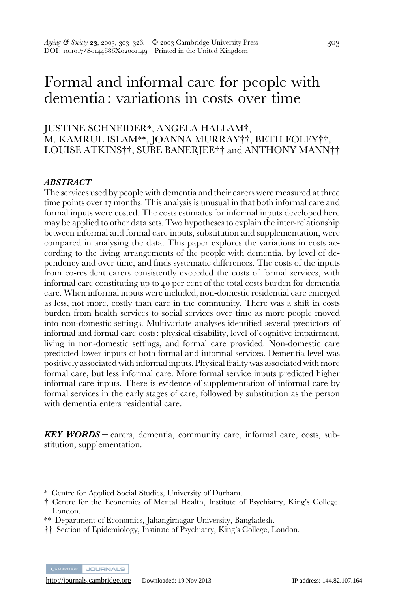# Formal and informal care for people with dementia: variations in costs over time

# JUSTINE SCHNEIDER\*, ANGELA HALLAM#, M. KAMRUL ISLAM\*\*, JOANNA MURRAY††, BETH FOLEY††, LOUISE ATKINS††, SUBE BANERJEE†† and ANTHONY MANN††

### ABSTRACT

The services used by people with dementia and their carers were measured at three time points over 17 months. This analysis is unusual in that both informal care and formal inputs were costed. The costs estimates for informal inputs developed here may be applied to other data sets. Two hypotheses to explain the inter-relationship between informal and formal care inputs, substitution and supplementation, were compared in analysing the data. This paper explores the variations in costs according to the living arrangements of the people with dementia, by level of dependency and over time, and finds systematic differences. The costs of the inputs from co-resident carers consistently exceeded the costs of formal services, with informal care constituting up to 40 per cent of the total costs burden for dementia care. When informal inputs were included, non-domestic residential care emerged as less, not more, costly than care in the community. There was a shift in costs burden from health services to social services over time as more people moved into non-domestic settings. Multivariate analyses identified several predictors of informal and formal care costs: physical disability, level of cognitive impairment, living in non-domestic settings, and formal care provided. Non-domestic care predicted lower inputs of both formal and informal services. Dementia level was positively associated with informal inputs. Physical frailty was associated with more formal care, but less informal care. More formal service inputs predicted higher informal care inputs. There is evidence of supplementation of informal care by formal services in the early stages of care, followed by substitution as the person with dementia enters residential care.

KEY WORDS – carers, dementia, community care, informal care, costs, substitution, supplementation.

CAMBRIDGE JOURNALS

<sup>\*</sup> Centre for Applied Social Studies, University of Durham.

<sup>#</sup> Centre for the Economics of Mental Health, Institute of Psychiatry, King's College, London.

<sup>\*\*</sup> Department of Economics, Jahangirnagar University, Bangladesh.

<sup>&</sup>lt;sup>††</sup> Section of Epidemiology, Institute of Psychiatry, King's College, London.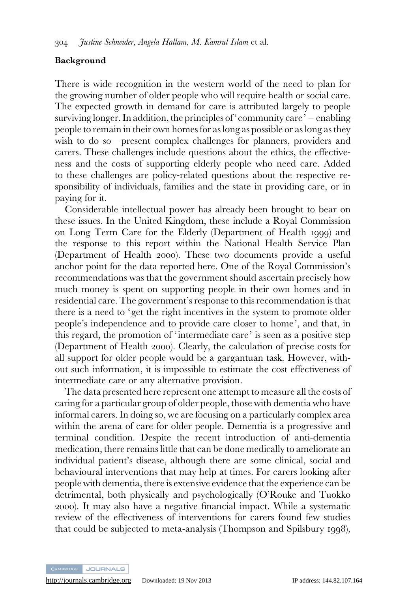#### Background

There is wide recognition in the western world of the need to plan for the growing number of older people who will require health or social care. The expected growth in demand for care is attributed largely to people surviving longer. In addition, the principles of 'community care' – enabling people to remain in their own homes for as long as possible or as long as they wish to do so – present complex challenges for planners, providers and carers. These challenges include questions about the ethics, the effectiveness and the costs of supporting elderly people who need care. Added to these challenges are policy-related questions about the respective responsibility of individuals, families and the state in providing care, or in paying for it.

Considerable intellectual power has already been brought to bear on these issues. In the United Kingdom, these include a Royal Commission on Long Term Care for the Elderly (Department of Health 1999) and the response to this report within the National Health Service Plan (Department of Health 2000). These two documents provide a useful anchor point for the data reported here. One of the Royal Commission's recommendations was that the government should ascertain precisely how much money is spent on supporting people in their own homes and in residential care. The government's response to this recommendation is that there is a need to 'get the right incentives in the system to promote older people's independence and to provide care closer to home', and that, in this regard, the promotion of 'intermediate care' is seen as a positive step (Department of Health 2000). Clearly, the calculation of precise costs for all support for older people would be a gargantuan task. However, without such information, it is impossible to estimate the cost effectiveness of intermediate care or any alternative provision.

The data presented here represent one attempt to measure all the costs of caring for a particular group of older people, those with dementia who have informal carers. In doing so, we are focusing on a particularly complex area within the arena of care for older people. Dementia is a progressive and terminal condition. Despite the recent introduction of anti-dementia medication, there remains little that can be done medically to ameliorate an individual patient's disease, although there are some clinical, social and behavioural interventions that may help at times. For carers looking after people with dementia, there is extensive evidence that the experience can be detrimental, both physically and psychologically (O'Rouke and Tuokko 2000). It may also have a negative financial impact. While a systematic review of the effectiveness of interventions for carers found few studies that could be subjected to meta-analysis (Thompson and Spilsbury 1998),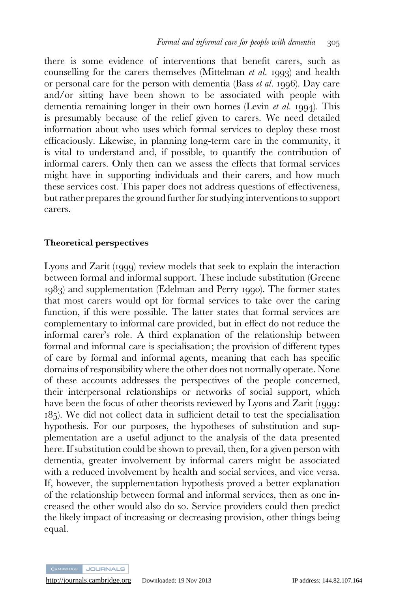there is some evidence of interventions that benefit carers, such as counselling for the carers themselves (Mittelman et al. 1993) and health or personal care for the person with dementia (Bass et al. 1996). Day care and/or sitting have been shown to be associated with people with dementia remaining longer in their own homes (Levin et al. 1994). This is presumably because of the relief given to carers. We need detailed information about who uses which formal services to deploy these most efficaciously. Likewise, in planning long-term care in the community, it is vital to understand and, if possible, to quantify the contribution of informal carers. Only then can we assess the effects that formal services might have in supporting individuals and their carers, and how much these services cost. This paper does not address questions of effectiveness, but rather prepares the ground further for studying interventions to support carers.

#### Theoretical perspectives

Lyons and Zarit (1999) review models that seek to explain the interaction between formal and informal support. These include substitution (Greene 1983) and supplementation (Edelman and Perry 1990). The former states that most carers would opt for formal services to take over the caring function, if this were possible. The latter states that formal services are complementary to informal care provided, but in effect do not reduce the informal carer's role. A third explanation of the relationship between formal and informal care is specialisation; the provision of different types of care by formal and informal agents, meaning that each has specific domains of responsibility where the other does not normally operate. None of these accounts addresses the perspectives of the people concerned, their interpersonal relationships or networks of social support, which have been the focus of other theorists reviewed by Lyons and Zarit (1999: 185). We did not collect data in sufficient detail to test the specialisation hypothesis. For our purposes, the hypotheses of substitution and supplementation are a useful adjunct to the analysis of the data presented here. If substitution could be shown to prevail, then, for a given person with dementia, greater involvement by informal carers might be associated with a reduced involvement by health and social services, and vice versa. If, however, the supplementation hypothesis proved a better explanation of the relationship between formal and informal services, then as one increased the other would also do so. Service providers could then predict the likely impact of increasing or decreasing provision, other things being equal.

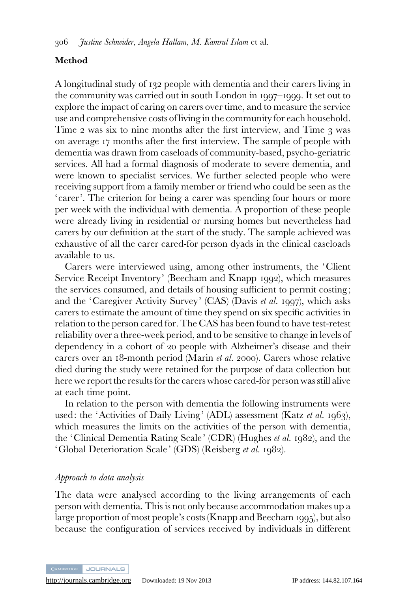# Method

A longitudinal study of 132 people with dementia and their carers living in the community was carried out in south London in 1997–1999. It set out to explore the impact of caring on carers over time, and to measure the service use and comprehensive costs of living in the community for each household. Time 2 was six to nine months after the first interview, and Time 3 was on average 17 months after the first interview. The sample of people with dementia was drawn from caseloads of community-based, psycho-geriatric services. All had a formal diagnosis of moderate to severe dementia, and were known to specialist services. We further selected people who were receiving support from a family member or friend who could be seen as the 'carer'. The criterion for being a carer was spending four hours or more per week with the individual with dementia. A proportion of these people were already living in residential or nursing homes but nevertheless had carers by our definition at the start of the study. The sample achieved was exhaustive of all the carer cared-for person dyads in the clinical caseloads available to us.

Carers were interviewed using, among other instruments, the 'Client Service Receipt Inventory' (Beecham and Knapp 1992), which measures the services consumed, and details of housing sufficient to permit costing; and the 'Caregiver Activity Survey' (CAS) (Davis et al. 1997), which asks carers to estimate the amount of time they spend on six specific activities in relation to the person cared for. The CAS has been found to have test-retest reliability over a three-week period, and to be sensitive to change in levels of dependency in a cohort of 20 people with Alzheimer's disease and their carers over an 18-month period (Marin et al. 2000). Carers whose relative died during the study were retained for the purpose of data collection but here we report the results for the carers whose cared-for person was still alive at each time point.

In relation to the person with dementia the following instruments were used: the 'Activities of Daily Living' (ADL) assessment (Katz et al. 1963), which measures the limits on the activities of the person with dementia, the 'Clinical Dementia Rating Scale' (CDR) (Hughes et al. 1982), and the 'Global Deterioration Scale' (GDS) (Reisberg et al. 1982).

# Approach to data analysis

The data were analysed according to the living arrangements of each person with dementia. This is not only because accommodation makes up a large proportion of most people's costs (Knapp and Beecham 1995), but also because the configuration of services received by individuals in different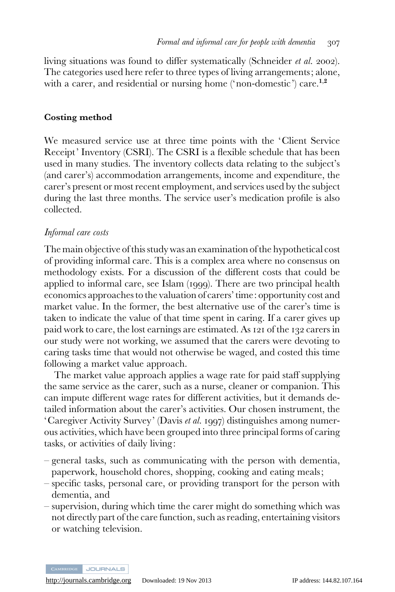living situations was found to differ systematically (Schneider et al. 2002). The categories used here refer to three types of living arrangements; alone, with a carer, and residential or nursing home ('non-domestic') care.<sup>1,2</sup>

#### Costing method

We measured service use at three time points with the 'Client Service Receipt' Inventory (CSRI). The CSRI is a flexible schedule that has been used in many studies. The inventory collects data relating to the subject's (and carer's) accommodation arrangements, income and expenditure, the carer's present or most recent employment, and services used by the subject during the last three months. The service user's medication profile is also collected.

# Informal care costs

The main objective of this study was an examination of the hypothetical cost of providing informal care. This is a complex area where no consensus on methodology exists. For a discussion of the different costs that could be applied to informal care, see Islam (1999). There are two principal health economics approaches to the valuation of carers' time: opportunity cost and market value. In the former, the best alternative use of the carer's time is taken to indicate the value of that time spent in caring. If a carer gives up paid work to care, the lost earnings are estimated. As 121 of the 132 carers in our study were not working, we assumed that the carers were devoting to caring tasks time that would not otherwise be waged, and costed this time following a market value approach.

The market value approach applies a wage rate for paid staff supplying the same service as the carer, such as a nurse, cleaner or companion. This can impute different wage rates for different activities, but it demands detailed information about the carer's activities. Our chosen instrument, the 'Caregiver Activity Survey' (Davis et al. 1997) distinguishes among numerous activities, which have been grouped into three principal forms of caring tasks, or activities of daily living:

- general tasks, such as communicating with the person with dementia, paperwork, household chores, shopping, cooking and eating meals;
- specific tasks, personal care, or providing transport for the person with dementia, and
- supervision, during which time the carer might do something which was not directly part of the care function, such as reading, entertaining visitors or watching television.

CAMBRIDGE JOURNALS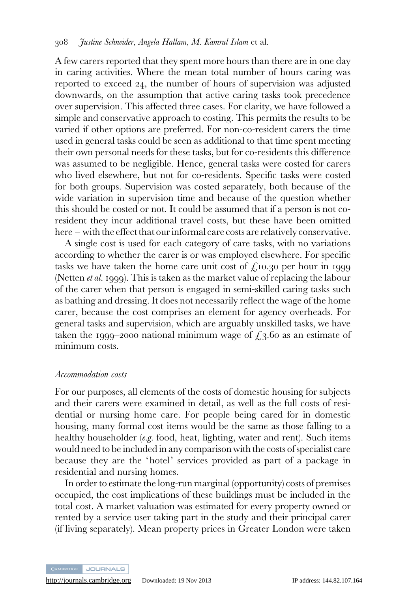A few carers reported that they spent more hours than there are in one day in caring activities. Where the mean total number of hours caring was reported to exceed 24, the number of hours of supervision was adjusted downwards, on the assumption that active caring tasks took precedence over supervision. This affected three cases. For clarity, we have followed a simple and conservative approach to costing. This permits the results to be varied if other options are preferred. For non-co-resident carers the time used in general tasks could be seen as additional to that time spent meeting their own personal needs for these tasks, but for co-residents this difference was assumed to be negligible. Hence, general tasks were costed for carers who lived elsewhere, but not for co-residents. Specific tasks were costed for both groups. Supervision was costed separately, both because of the wide variation in supervision time and because of the question whether this should be costed or not. It could be assumed that if a person is not coresident they incur additional travel costs, but these have been omitted here – with the effect that our informal care costs are relatively conservative.

A single cost is used for each category of care tasks, with no variations according to whether the carer is or was employed elsewhere. For specific tasks we have taken the home care unit cost of  $f<sub>i</sub>$  to 10.30 per hour in 1999 (Netten et al. 1999). This is taken as the market value of replacing the labour of the carer when that person is engaged in semi-skilled caring tasks such as bathing and dressing. It does not necessarily reflect the wage of the home carer, because the cost comprises an element for agency overheads. For general tasks and supervision, which are arguably unskilled tasks, we have taken the 1999–2000 national minimum wage of  $\ell_3$ .60 as an estimate of minimum costs.

#### Accommodation costs

For our purposes, all elements of the costs of domestic housing for subjects and their carers were examined in detail, as well as the full costs of residential or nursing home care. For people being cared for in domestic housing, many formal cost items would be the same as those falling to a healthy householder (e.g. food, heat, lighting, water and rent). Such items would need to be included in any comparison with the costs of specialist care because they are the 'hotel' services provided as part of a package in residential and nursing homes.

In order to estimate the long-run marginal (opportunity) costs of premises occupied, the cost implications of these buildings must be included in the total cost. A market valuation was estimated for every property owned or rented by a service user taking part in the study and their principal carer (if living separately). Mean property prices in Greater London were taken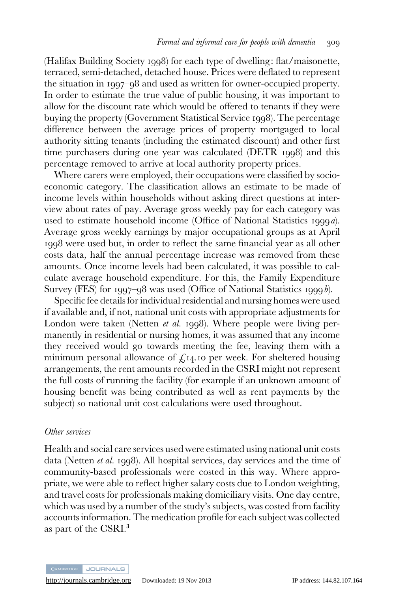(Halifax Building Society 1998) for each type of dwelling: flat/maisonette, terraced, semi-detached, detached house. Prices were deflated to represent the situation in 1997–98 and used as written for owner-occupied property. In order to estimate the true value of public housing, it was important to allow for the discount rate which would be offered to tenants if they were buying the property (Government Statistical Service 1998). The percentage difference between the average prices of property mortgaged to local authority sitting tenants (including the estimated discount) and other first time purchasers during one year was calculated (DETR 1998) and this percentage removed to arrive at local authority property prices.

Where carers were employed, their occupations were classified by socioeconomic category. The classification allows an estimate to be made of income levels within households without asking direct questions at interview about rates of pay. Average gross weekly pay for each category was used to estimate household income (Office of National Statistics 1999a). Average gross weekly earnings by major occupational groups as at April 1998 were used but, in order to reflect the same financial year as all other costs data, half the annual percentage increase was removed from these amounts. Once income levels had been calculated, it was possible to calculate average household expenditure. For this, the Family Expenditure Survey (FES) for 1997–98 was used (Office of National Statistics 1999b).

Specific fee details for individual residential and nursing homes were used if available and, if not, national unit costs with appropriate adjustments for London were taken (Netten *et al.* 1998). Where people were living permanently in residential or nursing homes, it was assumed that any income they received would go towards meeting the fee, leaving them with a minimum personal allowance of  $f_{14}$ . To per week. For sheltered housing arrangements, the rent amounts recorded in the CSRI might not represent the full costs of running the facility (for example if an unknown amount of housing benefit was being contributed as well as rent payments by the subject) so national unit cost calculations were used throughout.

#### Other services

Health and social care services used were estimated using national unit costs data (Netten et al. 1998). All hospital services, day services and the time of community-based professionals were costed in this way. Where appropriate, we were able to reflect higher salary costs due to London weighting, and travel costs for professionals making domiciliary visits. One day centre, which was used by a number of the study's subjects, was costed from facility accounts information. The medication profile for each subject was collected as part of the CSRI.<sup>3</sup>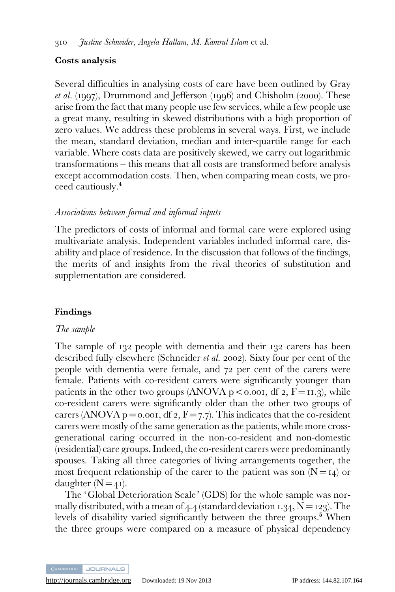# Costs analysis

Several difficulties in analysing costs of care have been outlined by Gray et al. (1997), Drummond and Jefferson (1996) and Chisholm (2000). These arise from the fact that many people use few services, while a few people use a great many, resulting in skewed distributions with a high proportion of zero values. We address these problems in several ways. First, we include the mean, standard deviation, median and inter-quartile range for each variable. Where costs data are positively skewed, we carry out logarithmic transformations – this means that all costs are transformed before analysis except accommodation costs. Then, when comparing mean costs, we proceed cautiously.<sup>4</sup>

# Associations between formal and informal inputs

The predictors of costs of informal and formal care were explored using multivariate analysis. Independent variables included informal care, disability and place of residence. In the discussion that follows of the findings, the merits of and insights from the rival theories of substitution and supplementation are considered.

# Findings

# The sample

The sample of 132 people with dementia and their 132 carers has been described fully elsewhere (Schneider et al. 2002). Sixty four per cent of the people with dementia were female, and 72 per cent of the carers were female. Patients with co-resident carers were significantly younger than patients in the other two groups (ANOVA  $p < 0.001$ , df 2,  $F = 11.3$ ), while co-resident carers were significantly older than the other two groups of carers (ANOVA  $p = 0.001$ , df 2,  $F = 7.7$ ). This indicates that the co-resident carers were mostly of the same generation as the patients, while more crossgenerational caring occurred in the non-co-resident and non-domestic (residential) care groups. Indeed, the co-resident carers were predominantly spouses. Taking all three categories of living arrangements together, the most frequent relationship of the carer to the patient was son  $(N=14)$  or daughter  $(N=4I)$ .

The 'Global Deterioration Scale' (GDS) for the whole sample was normally distributed, with a mean of  $4.4$  (standard deviation 1.34,  $N = 123$ ). The levels of disability varied significantly between the three groups.<sup>5</sup> When the three groups were compared on a measure of physical dependency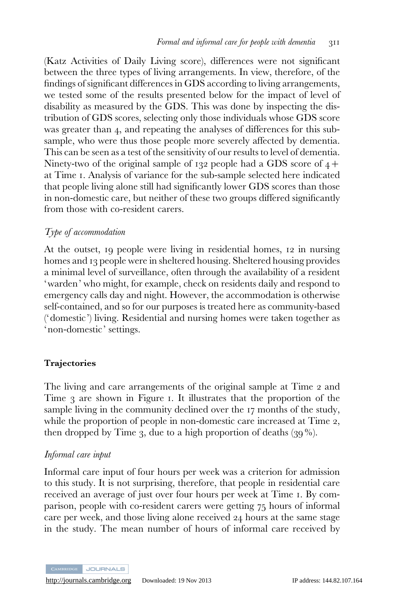(Katz Activities of Daily Living score), differences were not significant between the three types of living arrangements. In view, therefore, of the findings of significant differences in GDS according to living arrangements, we tested some of the results presented below for the impact of level of disability as measured by the GDS. This was done by inspecting the distribution of GDS scores, selecting only those individuals whose GDS score was greater than 4, and repeating the analyses of differences for this subsample, who were thus those people more severely affected by dementia. This can be seen as a test of the sensitivity of our results to level of dementia. Ninety-two of the original sample of 132 people had a GDS score of  $4+$ at Time 1. Analysis of variance for the sub-sample selected here indicated that people living alone still had significantly lower GDS scores than those in non-domestic care, but neither of these two groups differed significantly from those with co-resident carers.

# Type of accommodation

At the outset, 19 people were living in residential homes, 12 in nursing homes and 13 people were in sheltered housing. Sheltered housing provides a minimal level of surveillance, often through the availability of a resident 'warden' who might, for example, check on residents daily and respond to emergency calls day and night. However, the accommodation is otherwise self-contained, and so for our purposes is treated here as community-based ('domestic') living. Residential and nursing homes were taken together as 'non-domestic' settings.

# Trajectories

The living and care arrangements of the original sample at Time 2 and Time 3 are shown in Figure 1. It illustrates that the proportion of the sample living in the community declined over the 17 months of the study, while the proportion of people in non-domestic care increased at Time 2, then dropped by Time 3, due to a high proportion of deaths  $(39\%)$ .

# Informal care input

Informal care input of four hours per week was a criterion for admission to this study. It is not surprising, therefore, that people in residential care received an average of just over four hours per week at Time 1. By comparison, people with co-resident carers were getting 75 hours of informal care per week, and those living alone received 24 hours at the same stage in the study. The mean number of hours of informal care received by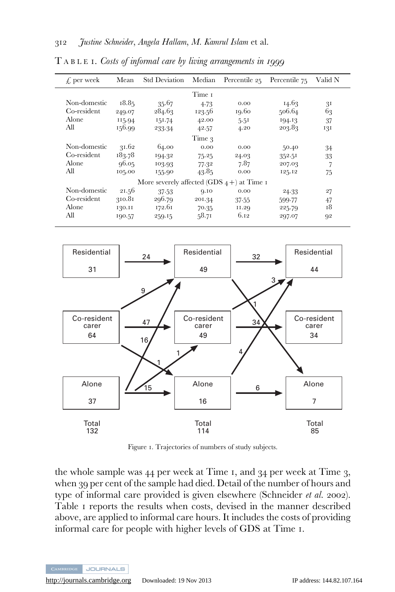| $f$ , per week | Mean   | Std Deviation                                | Median | Percentile $25$ Percentile $75$ |        | Valid N        |
|----------------|--------|----------------------------------------------|--------|---------------------------------|--------|----------------|
|                |        |                                              | Time 1 |                                 |        |                |
| Non-domestic   | 18.85  | 35.67                                        | 4.73   | 0.00                            | 14.63  | 3 <sup>I</sup> |
| Co-resident    | 249.07 | 284.63                                       | 123.56 | 19.60                           | 506.64 | 63             |
| Alone          | 115.94 | 151.74                                       | 42.00  | 5.51                            | 194.13 | 37             |
| All            | 156.99 | 233.34                                       | 42.57  | 4.20                            | 203.83 | 131            |
|                |        |                                              | Time 3 |                                 |        |                |
| Non-domestic   | 31.62  | 64.00                                        | 0.00   | 0.00                            | 50.40  | 34             |
| Co-resident    | 183.78 | 194.32                                       | 75.25  | 24.03                           | 352.51 | 33             |
| Alone          | 96.05  | 103.93                                       | 77.32  | 7.87                            | 207.03 | 7              |
| All            | 105.00 | 155.90                                       | 43.85  | 0.00                            | 125.12 | 75             |
|                |        | More severely affected (GDS $4+$ ) at Time I |        |                                 |        |                |
| Non-domestic   | 21.56  | 37.53                                        | Q.IO   | 0.00                            | 24.33  | 27             |
| Co-resident    | 310.81 | 296.79                                       | 201.34 | 37.55                           | 599.77 | 47             |
| Alone          | 130.11 | 172.61                                       | 70.35  | 11.29                           | 225.79 | 18             |
| All            | 190.57 | 259.15                                       | 58.71  | 6.12                            | 297.07 | 92             |

T ABLE 1. Costs of informal care by living arrangements in 1999



Figure 1. Trajectories of numbers of study subjects.

the whole sample was 44 per week at Time 1, and 34 per week at Time 3, when 39 per cent of the sample had died. Detail of the number of hours and type of informal care provided is given elsewhere (Schneider et al. 2002). Table 1 reports the results when costs, devised in the manner described above, are applied to informal care hours. It includes the costs of providing informal care for people with higher levels of GDS at Time 1.

**JOURNALS**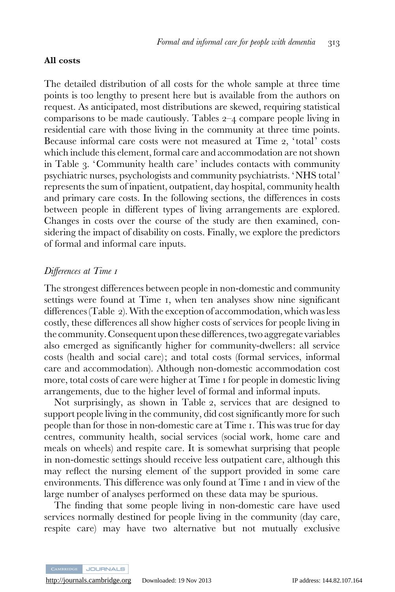#### All costs

The detailed distribution of all costs for the whole sample at three time points is too lengthy to present here but is available from the authors on request. As anticipated, most distributions are skewed, requiring statistical comparisons to be made cautiously. Tables 2–4 compare people living in residential care with those living in the community at three time points. Because informal care costs were not measured at Time 2, 'total' costs which include this element, formal care and accommodation are not shown in Table 3. 'Community health care' includes contacts with community psychiatric nurses, psychologists and community psychiatrists. 'NHS total' represents the sum of inpatient, outpatient, day hospital, community health and primary care costs. In the following sections, the differences in costs between people in different types of living arrangements are explored. Changes in costs over the course of the study are then examined, considering the impact of disability on costs. Finally, we explore the predictors of formal and informal care inputs.

# Differences at Time 1

The strongest differences between people in non-domestic and community settings were found at Time 1, when ten analyses show nine significant differences (Table 2). With the exception of accommodation, which was less costly, these differences all show higher costs of services for people living in the community. Consequent uponthese differences,two aggregate variables also emerged as significantly higher for community-dwellers: all service costs (health and social care); and total costs (formal services, informal care and accommodation). Although non-domestic accommodation cost more, total costs of care were higher at Time 1 for people in domestic living arrangements, due to the higher level of formal and informal inputs.

Not surprisingly, as shown in Table 2, services that are designed to support people living in the community, did cost significantly more for such people than for those in non-domestic care at Time 1. This was true for day centres, community health, social services (social work, home care and meals on wheels) and respite care. It is somewhat surprising that people in non-domestic settings should receive less outpatient care, although this may reflect the nursing element of the support provided in some care environments. This difference was only found at Time 1 and in view of the large number of analyses performed on these data may be spurious.

The finding that some people living in non-domestic care have used services normally destined for people living in the community (day care, respite care) may have two alternative but not mutually exclusive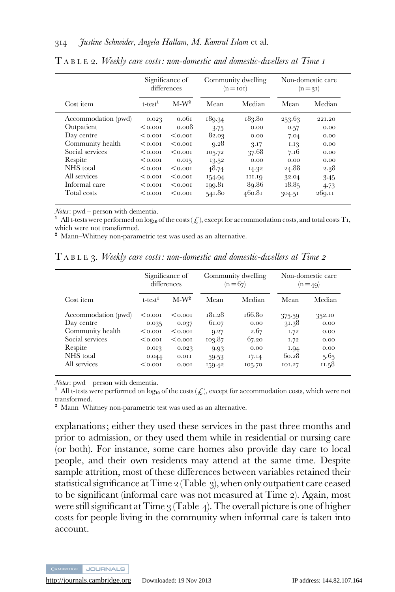|                     | Significance of<br>differences |         |        | Community dwelling<br>$(n = i 0 i)$ | Non-domestic care<br>$(n = 31)$ |        |
|---------------------|--------------------------------|---------|--------|-------------------------------------|---------------------------------|--------|
| Cost item           | $t$ -test $1$                  | $M-W^2$ | Mean   | Median                              | Mean                            | Median |
| Accommodation (pwd) | 0.023                          | 0.061   | 189.34 | 183.80                              | 253.63                          | 221.20 |
| Outpatient          | 0.001                          | 0.008   | 3.75   | 0.00                                | 0.57                            | 0.00   |
| Day centre          | < 0.001                        | < 0.001 | 82.03  | 0.00                                | 7.04                            | 0.00   |
| Community health    | < 0.001                        | < 0.001 | 9.28   | 3.17                                | 1.13                            | 0.00   |
| Social services     | 0.001                          | < 0.001 | 105.72 | 37.68                               | 7.16                            | 0.00   |
| Respite             | < 0.001                        | 0.015   | 13.52  | 0.00                                | 0.00                            | 0.00   |
| NHS total           | < 0.001                        | < 0.001 | 48.74  | 14.32                               | 24.88                           | 2.38   |
| All services        | < 0.001                        | < 0.001 | 154.94 | 111.19                              | 32.04                           | $3-45$ |
| Informal care       | < 0.001                        | < 0.001 | 199.81 | 89.86                               | 18.85                           | 4.73   |
| Total costs         | 0.001                          | < 0.001 | 541.80 | 460.81                              | 304.51                          | 269.11 |

T ABLE 2. Weekly care costs: non-domestic and domestic-dwellers at Time 1

Notes: pwd – person with dementia.

<sup>1</sup> All t-tests were performed on  $log_{10}$  of the costs ( $\ell$ ), except for accommodation costs, and total costs T<sub>1</sub>, which were not transformed.

<sup>2</sup> Mann–Whitney non-parametric test was used as an alternative.

T ABLE 3. Weekly care costs: non-domestic and domestic-dwellers at Time 2

|                     |               | Significance of<br>differences |        | Community dwelling<br>$(n = 67)$ | Non-domestic care<br>$(n=49)$ |        |
|---------------------|---------------|--------------------------------|--------|----------------------------------|-------------------------------|--------|
| Cost item           | $t$ -test $1$ | $M-W^2$                        | Mean   | Median                           | Mean                          | Median |
| Accommodation (pwd) | < 0.001       | < 0.001                        | 181.28 | 166.8o                           | 375.59                        | 352.10 |
| Day centre          | 0.035         | 0.037                          | 61.07  | 0.00                             | 31.38                         | 0.00   |
| Community health    | < 0.001       | < 0.001                        | 9.27   | 2.67                             | 1.72                          | 0.00   |
| Social services     | < 0.001       | < 0.001                        | 103.87 | 67.20                            | 1.72                          | 0.00   |
| Respite             | 0.013         | 0.023                          | 9.93   | 0.00                             | 1.94                          | 0.00   |
| NHS total           | 0.044         | 0.011                          | 59.53  | 17.14                            | 60.28                         | 5.65   |
| All services        | < 0.001       | 0.001                          | 159.42 | 105.70                           | 101.27                        | 11.58  |

Notes: pwd – person with dementia.

<sup>1</sup> All t-tests were performed on log<sub>10</sub> of the costs  $(\mathcal{L})$ , except for accommodation costs, which were not transformed.

<sup>2</sup> Mann–Whitney non-parametric test was used as an alternative.

explanations; either they used these services in the past three months and prior to admission, or they used them while in residential or nursing care (or both). For instance, some care homes also provide day care to local people, and their own residents may attend at the same time. Despite sample attrition, most of these differences between variables retained their statistical significance at Time 2 (Table 3), when only outpatient care ceased to be significant (informal care was not measured at Time 2). Again, most were still significant at Time  $\frac{1}{3}$  (Table 4). The overall picture is one of higher costs for people living in the community when informal care is taken into account.

CAMBRIDGE JOURNALS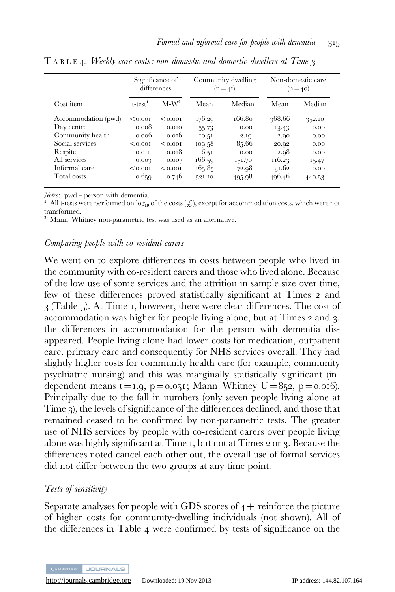|                     | Significance of<br>differences |         |        | Community dwelling<br>$(n=41)$ | Non-domestic care<br>$(n = 40)$ |        |
|---------------------|--------------------------------|---------|--------|--------------------------------|---------------------------------|--------|
| Cost item           | $t$ -test $1$                  | $M-W^2$ | Mean   | Median                         | Mean                            | Median |
| Accommodation (pwd) | < 0.001                        | < 0.001 | 176.29 | 166.80                         | 368.66                          | 352.10 |
| Day centre          | 0.008                          | 0.010   | 55.73  | 0.00                           | 13.43                           | 0.00   |
| Community health    | 0.006                          | 0.016   | 10.51  | 2.19                           | 2.90                            | 0.00   |
| Social services     | 0.001                          | < 0.001 | 109.58 | 85.66                          | 20.02                           | 0.00   |
| Respite             | 0.011                          | 0.018   | 16.51  | 0.00                           | 2.98                            | 0.00   |
| All services        | 0.003                          | 0.003   | 166.59 | 151.70                         | 116.23                          | 15.47  |
| Informal care       | $0.001$                        | 0.001   | 165.85 | 72.98                          | 31.62                           | 0.00   |
| Total costs         | 0.659                          | 0.746   | 521.10 | 495.98                         | 496.46                          | 449.53 |

 $T A B L E 4.$  Weekly care costs: non-domestic and domestic-dwellers at Time 3

Notes: pwd – person with dementia.

<sup>1</sup> All t-tests were performed on log<sub>10</sub> of the costs  $(\mathcal{L})$ , except for accommodation costs, which were not transformed.

<sup>2</sup> Mann–Whitney non-parametric test was used as an alternative.

#### Comparing people with co-resident carers

We went on to explore differences in costs between people who lived in the community with co-resident carers and those who lived alone. Because of the low use of some services and the attrition in sample size over time, few of these differences proved statistically significant at Times 2 and 3 (Table 5). At Time 1, however, there were clear differences. The cost of accommodation was higher for people living alone, but at Times 2 and 3, the differences in accommodation for the person with dementia disappeared. People living alone had lower costs for medication, outpatient care, primary care and consequently for NHS services overall. They had slightly higher costs for community health care (for example, community psychiatric nursing) and this was marginally statistically significant (independent means  $t = 1.9$ ,  $p = 0.051$ ; Mann–Whitney  $U = 852$ ,  $p = 0.016$ ). Principally due to the fall in numbers (only seven people living alone at Time 3), the levels of significance of the differences declined, and those that remained ceased to be confirmed by non-parametric tests. The greater use of NHS services by people with co-resident carers over people living alone was highly significant at Time 1, but not at Times 2 or 3. Because the differences noted cancel each other out, the overall use of formal services did not differ between the two groups at any time point.

#### Tests of sensitivity

Separate analyses for people with GDS scores of  $4+$  reinforce the picture of higher costs for community-dwelling individuals (not shown). All of the differences in Table 4 were confirmed by tests of significance on the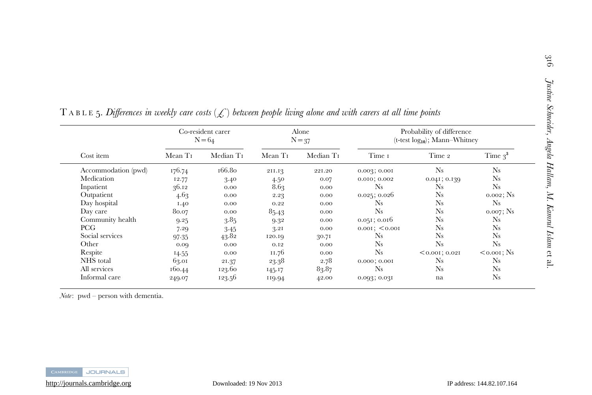|                     | Co-resident carer<br>$N = 64$ |                       | Alone<br>$N = 37$   |                       | Probability of difference<br>$(t$ -test $log_{10}$ ; Mann-Whitney |                   |               |
|---------------------|-------------------------------|-----------------------|---------------------|-----------------------|-------------------------------------------------------------------|-------------------|---------------|
| Cost item           | Mean T <sub>I</sub>           | Median T <sub>I</sub> | Mean T <sub>I</sub> | Median T <sub>I</sub> | Time 1                                                            | Time 2            | Time $3^3$    |
| Accommodation (pwd) | 176.74                        | 166.80                | 211.13              | 221.20                | 0.003, 0.001                                                      | $N_{\rm s}$       | <b>Ns</b>     |
| Medication          | 12.77                         | 3.40                  | 4.50                | 0.07                  | $0.010$ ; $0.002$                                                 | $0.041$ ; $0.139$ | $N_{\rm s}$   |
| Inpatient           | 36.12                         | 0.00                  | 8.63                | 0.00                  | Ns                                                                | $N_{\rm s}$       | $N_{\rm s}$   |
| Outpatient          | 4.63                          | 0.00                  | 2.23                | 0.00                  | 0.025; 0.026                                                      | $N_{\rm s}$       | $0.002$ ; Ns  |
| Day hospital        | 1.40                          | 0.00                  | 0.22                | 0.00                  | Ns                                                                | $N_{\rm s}$       | <b>Ns</b>     |
| Day care            | 80.07                         | 0.00                  | 85.43               | 0.00                  | <b>Ns</b>                                                         | $N_{\rm s}$       | 0.007; Ns     |
| Community health    | 9.25                          | 3.85                  | 9.32                | 0.00                  | $0.051$ ; 0.016                                                   | $N_{\rm s}$       | Ns            |
| PCG                 | 7.29                          | 3.45                  | 3.21                | 0.00                  | $0.001$ ; < 0.001                                                 | <b>Ns</b>         | $N_{S}$       |
| Social services     | 97.35                         | 43.82                 | 120.19              | 30.71                 | Ns                                                                | <b>Ns</b>         | $N_{S}$       |
| Other               | 0.00                          | 0.00                  | 0.12                | 0.00                  | <b>Ns</b>                                                         | $N_{\rm s}$       | $N_{S}$       |
| Respite             | 14.55                         | 0.00                  | 11.76               | 0.00                  | <b>Ns</b>                                                         | $< 0.001$ ; 0.02I | $<$ 0.001; Ns |
| NHS total           | 63.01                         | 21.37                 | 23.38               | 2.78                  | $0.000$ ; $0.001$                                                 | Ns                | Ns            |
| All services        | 160.44                        | 123.60                | 145.17              | 83.87                 | Ns                                                                | <b>Ns</b>         | $N_{\rm s}$   |
| Informal care       | 249.07                        | 123.56                | 119.94              | 42.00                 | 0.093, 0.031                                                      | na                | $N_{S}$       |

T A B L E 5. Differences in weekly care costs (L) between people living alone and with carers at all time points

 $Note:$  pwd – person with dementia.



et al.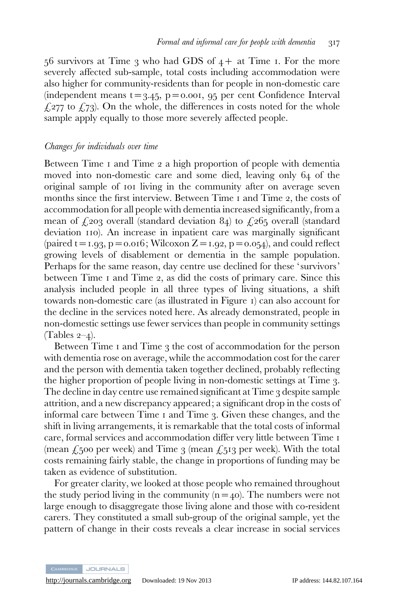$56$  survivors at Time 3 who had GDS of  $4+$  at Time 1. For the more severely affected sub-sample, total costs including accommodation were also higher for community-residents than for people in non-domestic care (independent means  $t=3.45$ ,  $p=0.001$ ,  $q5$  per cent Confidence Interval  $\angle$  £277 to £73). On the whole, the differences in costs noted for the whole sample apply equally to those more severely affected people.

#### Changes for individuals over time

Between Time 1 and Time 2 a high proportion of people with dementia moved into non-domestic care and some died, leaving only 64 of the original sample of 101 living in the community after on average seven months since the first interview. Between Time 1 and Time 2, the costs of accommodation for all people with dementia increased significantly, from a mean of  $\zeta$ 203 overall (standard deviation 84) to  $\zeta$ 265 overall (standard deviation 110). An increase in inpatient care was marginally significant (paired t = 1.93, p = 0.016; Wilcoxon  $Z = 1.92$ , p = 0.054), and could reflect growing levels of disablement or dementia in the sample population. Perhaps for the same reason, day centre use declined for these 'survivors' between Time 1 and Time 2, as did the costs of primary care. Since this analysis included people in all three types of living situations, a shift towards non-domestic care (as illustrated in Figure 1) can also account for the decline in the services noted here. As already demonstrated, people in non-domestic settings use fewer services than people in community settings (Tables  $2-4$ ).

Between Time 1 and Time 3 the cost of accommodation for the person with dementia rose on average, while the accommodation cost for the carer and the person with dementia taken together declined, probably reflecting the higher proportion of people living in non-domestic settings at Time 3. The decline in day centre use remained significant at Time 3 despite sample attrition, and a new discrepancy appeared; a significant drop in the costs of informal care between Time 1 and Time 3. Given these changes, and the shift in living arrangements, it is remarkable that the total costs of informal care, formal services and accommodation differ very little between Time 1 (mean  $\ell$ , 500 per week) and Time 3 (mean  $\ell$ , 513 per week). With the total costs remaining fairly stable, the change in proportions of funding may be taken as evidence of substitution.

For greater clarity, we looked at those people who remained throughout the study period living in the community  $(n=40)$ . The numbers were not large enough to disaggregate those living alone and those with co-resident carers. They constituted a small sub-group of the original sample, yet the pattern of change in their costs reveals a clear increase in social services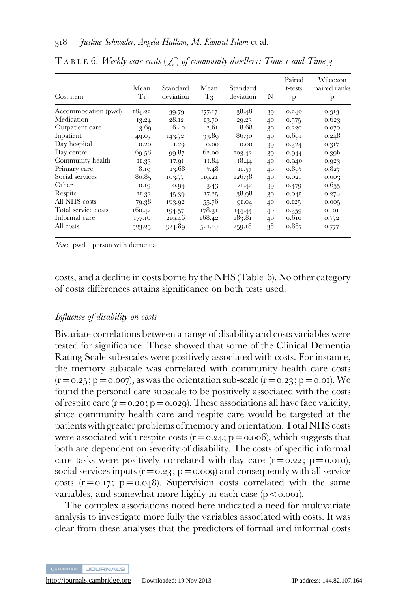| Cost item           | Mean<br>Tи | Standard<br>deviation | Mean<br>$T_3$ | Standard<br>deviation | N  | Paired<br>t-tests<br>p | Wilcoxon<br>paired ranks<br>p |
|---------------------|------------|-----------------------|---------------|-----------------------|----|------------------------|-------------------------------|
| Accommodation (pwd) | 184.22     | 39.79                 | 177.17        | 38.48                 | 39 | 0.240                  | 0.313                         |
| Medication          | 13.24      | 28.12                 | 13.70         | 29.23                 | 40 | 0.575                  | 0.623                         |
| Outpatient care     | 3.69       | 6.40                  | 2.61          | 8.68                  | 39 | 0.220                  | 0.070                         |
| Inpatient           | 49.07      | 143.72                | 33.89         | 86.30                 | 40 | 0.691                  | 0.248                         |
| Day hospital        | 0.20       | 1.29                  | 0.00          | 0.00                  | 39 | 0.324                  | 0.317                         |
| Day centre          | 69.58      | 99.87                 | 62.00         | 103.42                | 39 | 0.944                  | 0.396                         |
| Community health    | 11.33      | 17.91                 | 11.84         | 18.44                 | 40 | 0.940                  | 0.923                         |
| Primary care        | 8.19       | 13.68                 | 7.48          | 11.57                 | 40 | 0.897                  | 0.827                         |
| Social services     | 80.85      | 103.77                | 119.21        | 126.38                | 40 | 0.021                  | 0.003                         |
| Other               | 0.19       | 0.94                  | $3-43$        | 21.42                 | 39 | 0.479                  | 0.655                         |
| Respite             | 11.32      | 45.39                 | 17.25         | 38.98                 | 39 | 0.045                  | 0.278                         |
| All NHS costs       | 79.38      | 163.92                | 55.76         | 91.04                 | 40 | 0.125                  | 0.005                         |
| Total service costs | 160.42     | 194.57                | 178.31        | 144.44                | 40 | 0.359                  | 0.101                         |
| Informal care       | 177.16     | 219.46                | 168.42        | 183.81                | 40 | 0.610                  | 0.772                         |
| All costs           | 523.25     | 324.89                | 521.10        | 259.18                | 38 | 0.887                  | 0.777                         |

T A B L E 6. Weekly care costs  $(\mathcal{L})$  of community dwellers: Time 1 and Time 3

 $Note:$  pwd – person with dementia.

costs, and a decline in costs borne by the NHS (Table 6). No other category of costs differences attains significance on both tests used.

#### Influence of disability on costs

Bivariate correlations between a range of disability and costs variables were tested for significance. These showed that some of the Clinical Dementia Rating Scale sub-scales were positively associated with costs. For instance, the memory subscale was correlated with community health care costs  $(r=0.25; p=0.007)$ , as was the orientation sub-scale  $(r=0.23; p=0.01)$ . We found the personal care subscale to be positively associated with the costs of respite care  $(r=0.20; p=0.029)$ . These associations all have face validity, since community health care and respite care would be targeted at the patients with greater problems of memory and orientation. Total NHS costs were associated with respite costs  $(r=0.24; p=0.006)$ , which suggests that both are dependent on severity of disability. The costs of specific informal care tasks were positively correlated with day care  $(r=0.22; p=0.010)$ , social services inputs  $(r=0.23; p=0.009)$  and consequently with all service costs  $(r=0.17; p=0.048)$ . Supervision costs correlated with the same variables, and somewhat more highly in each case  $(p < 0.001)$ .

The complex associations noted here indicated a need for multivariate analysis to investigate more fully the variables associated with costs. It was clear from these analyses that the predictors of formal and informal costs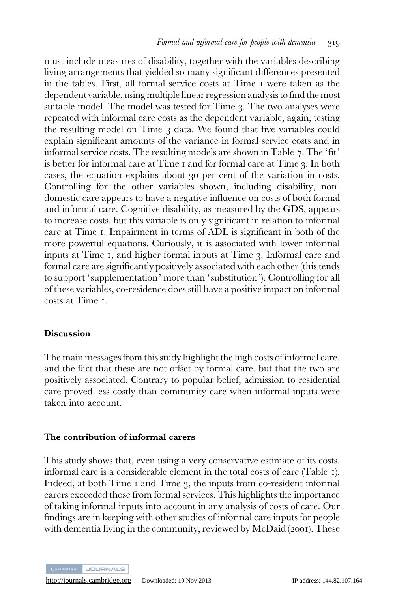must include measures of disability, together with the variables describing living arrangements that yielded so many significant differences presented in the tables. First, all formal service costs at Time 1 were taken as the dependent variable, using multiple linear regression analysisto find the most suitable model. The model was tested for Time 3. The two analyses were repeated with informal care costs as the dependent variable, again, testing the resulting model on Time 3 data. We found that five variables could explain significant amounts of the variance in formal service costs and in informal service costs. The resulting models are shown in Table 7. The 'fit' is better for informal care at Time 1 and for formal care at Time 3. In both cases, the equation explains about 30 per cent of the variation in costs. Controlling for the other variables shown, including disability, nondomestic care appears to have a negative influence on costs of both formal and informal care. Cognitive disability, as measured by the GDS, appears to increase costs, but this variable is only significant in relation to informal care at Time 1. Impairment in terms of ADL is significant in both of the more powerful equations. Curiously, it is associated with lower informal inputs at Time 1, and higher formal inputs at Time 3. Informal care and formal care are significantly positively associated with each other (this tends to support ' supplementation' more than ' substitution'). Controlling for all of these variables, co-residence does still have a positive impact on informal costs at Time 1.

#### **Discussion**

The main messages from this study highlight the high costs of informal care, and the fact that these are not offset by formal care, but that the two are positively associated. Contrary to popular belief, admission to residential care proved less costly than community care when informal inputs were taken into account.

#### The contribution of informal carers

This study shows that, even using a very conservative estimate of its costs, informal care is a considerable element in the total costs of care (Table 1). Indeed, at both Time 1 and Time 3, the inputs from co-resident informal carers exceeded those from formal services. This highlights the importance of taking informal inputs into account in any analysis of costs of care. Our findings are in keeping with other studies of informal care inputs for people with dementia living in the community, reviewed by McDaid (2001). These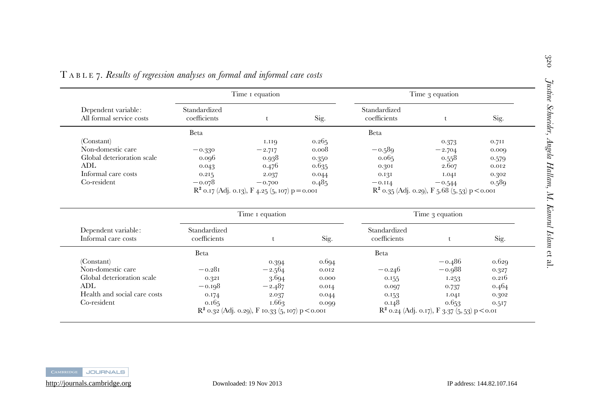|                                                 |                              | Time <i>I</i> equation                            |       | Time 3 equation              |                                                  |       |  |
|-------------------------------------------------|------------------------------|---------------------------------------------------|-------|------------------------------|--------------------------------------------------|-------|--|
| Dependent variable:<br>All formal service costs | Standardized<br>coefficients |                                                   | Sig.  | Standardized<br>coefficients |                                                  | Sig.  |  |
|                                                 | Beta                         |                                                   |       | Beta                         |                                                  |       |  |
| (Constant)                                      |                              | 1.119                                             | 0.265 |                              | 0.373                                            | 0.711 |  |
| Non-domestic care                               | $-0.330$                     | $-2.717$                                          | 0.008 | $-0.589$                     | $-2.704$                                         | 0.000 |  |
| Global deterioration scale                      | 0.096                        | 0.938                                             | 0.350 | 0.065                        | 0.558                                            | 0.579 |  |
| ADL                                             | 0.043                        | 0.476                                             | 0.635 | 0.301                        | 2.607                                            | 0.012 |  |
| Informal care costs                             | 0.215                        | 2.037                                             | 0.044 | 0.131                        | I.04I                                            | 0.302 |  |
| Co-resident                                     | $-0.078$                     | $-0.700$                                          | 0.485 | $-0.114$                     | $-0.544$                                         | 0.589 |  |
|                                                 |                              | $R^2$ 0.17 (Adj. 0.13), F 4.25 (5, 107) p = 0.001 |       |                              | $R^2$ 0.35 (Adj. 0.29), F 5.68 (5, 53) p < 0.001 |       |  |

| TABLE 7. Results of regression analyses on formal and informal care costs |  |  |  |  |  |  |  |  |
|---------------------------------------------------------------------------|--|--|--|--|--|--|--|--|
|---------------------------------------------------------------------------|--|--|--|--|--|--|--|--|

|                                            |                              | Time I equation                                    |       | Time 3 equation              |                                                 |       |
|--------------------------------------------|------------------------------|----------------------------------------------------|-------|------------------------------|-------------------------------------------------|-------|
| Dependent variable:<br>Informal care costs | Standardized<br>coefficients |                                                    | Sig.  | Standardized<br>coefficients |                                                 | Sig.  |
|                                            | Beta                         |                                                    |       | Beta                         |                                                 |       |
| (Constant)                                 |                              | 0.394                                              | 0.694 |                              | $-0.486$                                        | 0.629 |
| Non-domestic care                          | $-0.281$                     | $-2.564$                                           | 0.012 | $-0.246$                     | $-0.988$                                        | 0.327 |
| Global deterioration scale                 | 0.321                        | 3.694                                              | 0.000 | 0.155                        | 1.253                                           | 0.216 |
| ADL                                        | $-0.198$                     | $-2.487$                                           | 0.014 | 0.097                        | 0.737                                           | 0.464 |
| Health and social care costs               | 0.174                        | 2.037                                              | 0.044 | 0.153                        | I.04I                                           | 0.302 |
| Co-resident                                | 0.165                        | 1.663                                              | 0.000 | 0.148                        | 0.653                                           | 0.517 |
|                                            |                              | $R^2$ 0.32 (Adj. 0.29), F 10.33 (5, 107) p < 0.001 |       |                              | $R^2$ 0.24 (Adj. 0.17), F 3.37 (5, 53) p < 0.01 |       |

et al.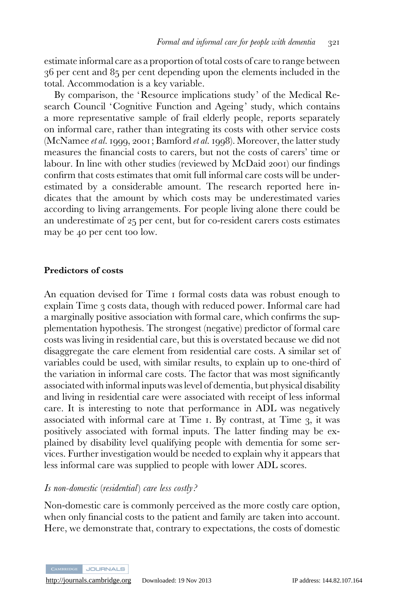estimate informal care as a proportion of total costs of care to range between 36 per cent and 85 per cent depending upon the elements included in the total. Accommodation is a key variable.

By comparison, the 'Resource implications study' of the Medical Research Council 'Cognitive Function and Ageing' study, which contains a more representative sample of frail elderly people, reports separately on informal care, rather than integrating its costs with other service costs (McNamee et al. 1999, 2001; Bamford et al. 1998). Moreover, the latter study measures the financial costs to carers, but not the costs of carers' time or labour. In line with other studies (reviewed by McDaid 2001) our findings confirm that costs estimates that omit full informal care costs will be underestimated by a considerable amount. The research reported here indicates that the amount by which costs may be underestimated varies according to living arrangements. For people living alone there could be an underestimate of 25 per cent, but for co-resident carers costs estimates may be 40 per cent too low.

#### Predictors of costs

An equation devised for Time 1 formal costs data was robust enough to explain Time 3 costs data, though with reduced power. Informal care had a marginally positive association with formal care, which confirms the supplementation hypothesis. The strongest (negative) predictor of formal care costs was living in residential care, but this is overstated because we did not disaggregate the care element from residential care costs. A similar set of variables could be used, with similar results, to explain up to one-third of the variation in informal care costs. The factor that was most significantly associated with informal inputs was level of dementia, but physical disability and living in residential care were associated with receipt of less informal care. It is interesting to note that performance in ADL was negatively associated with informal care at Time 1. By contrast, at Time 3, it was positively associated with formal inputs. The latter finding may be explained by disability level qualifying people with dementia for some services. Further investigation would be needed to explain why it appears that less informal care was supplied to people with lower ADL scores.

#### Is non-domestic (residential) care less costly ?

Non-domestic care is commonly perceived as the more costly care option, when only financial costs to the patient and family are taken into account. Here, we demonstrate that, contrary to expectations, the costs of domestic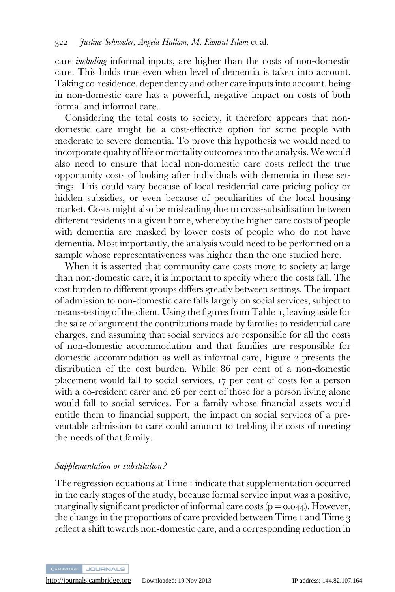care including informal inputs, are higher than the costs of non-domestic care. This holds true even when level of dementia is taken into account. Taking co-residence, dependency and other care inputs into account, being in non-domestic care has a powerful, negative impact on costs of both formal and informal care.

Considering the total costs to society, it therefore appears that nondomestic care might be a cost-effective option for some people with moderate to severe dementia. To prove this hypothesis we would need to incorporate quality of life or mortality outcomes into the analysis.We would also need to ensure that local non-domestic care costs reflect the true opportunity costs of looking after individuals with dementia in these settings. This could vary because of local residential care pricing policy or hidden subsidies, or even because of peculiarities of the local housing market. Costs might also be misleading due to cross-subsidisation between different residents in a given home, whereby the higher care costs of people with dementia are masked by lower costs of people who do not have dementia. Most importantly, the analysis would need to be performed on a sample whose representativeness was higher than the one studied here.

When it is asserted that community care costs more to society at large than non-domestic care, it is important to specify where the costs fall. The cost burden to different groups differs greatly between settings. The impact of admission to non-domestic care falls largely on social services, subject to means-testing of the client. Using the figures from Table 1, leaving aside for the sake of argument the contributions made by families to residential care charges, and assuming that social services are responsible for all the costs of non-domestic accommodation and that families are responsible for domestic accommodation as well as informal care, Figure 2 presents the distribution of the cost burden. While 86 per cent of a non-domestic placement would fall to social services, 17 per cent of costs for a person with a co-resident carer and 26 per cent of those for a person living alone would fall to social services. For a family whose financial assets would entitle them to financial support, the impact on social services of a preventable admission to care could amount to trebling the costs of meeting the needs of that family.

# Supplementation or substitution ?

The regression equations at Time 1 indicate that supplementation occurred in the early stages of the study, because formal service input was a positive, marginally significant predictor of informal care costs ( $p = 0.044$ ). However, the change in the proportions of care provided between Time 1 and Time 3 reflect a shift towards non-domestic care, and a corresponding reduction in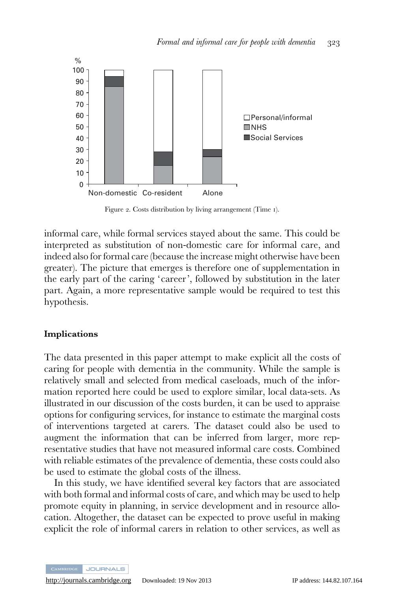

Figure 2. Costs distribution by living arrangement (Time 1).

informal care, while formal services stayed about the same. This could be interpreted as substitution of non-domestic care for informal care, and indeed also for formal care (because the increase might otherwise have been greater). The picture that emerges is therefore one of supplementation in the early part of the caring 'career', followed by substitution in the later part. Again, a more representative sample would be required to test this hypothesis.

#### Implications

The data presented in this paper attempt to make explicit all the costs of caring for people with dementia in the community. While the sample is relatively small and selected from medical caseloads, much of the information reported here could be used to explore similar, local data-sets. As illustrated in our discussion of the costs burden, it can be used to appraise options for configuring services, for instance to estimate the marginal costs of interventions targeted at carers. The dataset could also be used to augment the information that can be inferred from larger, more representative studies that have not measured informal care costs. Combined with reliable estimates of the prevalence of dementia, these costs could also be used to estimate the global costs of the illness.

In this study, we have identified several key factors that are associated with both formal and informal costs of care, and which may be used to help promote equity in planning, in service development and in resource allocation. Altogether, the dataset can be expected to prove useful in making explicit the role of informal carers in relation to other services, as well as

**JOURNALS**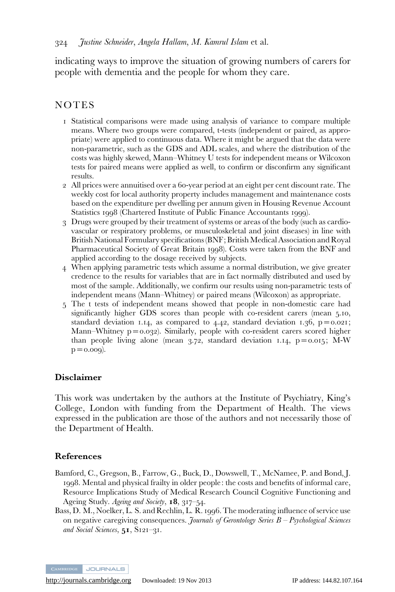indicating ways to improve the situation of growing numbers of carers for people with dementia and the people for whom they care.

# NOTES

- 1 Statistical comparisons were made using analysis of variance to compare multiple means. Where two groups were compared, t-tests (independent or paired, as appropriate) were applied to continuous data. Where it might be argued that the data were non-parametric, such as the GDS and ADL scales, and where the distribution of the costs was highly skewed, Mann–Whitney U tests for independent means or Wilcoxon tests for paired means were applied as well, to confirm or disconfirm any significant results.
- 2 All prices were annuitised over a 60-year period at an eight per cent discount rate. The weekly cost for local authority property includes management and maintenance costs based on the expenditure per dwelling per annum given in Housing Revenue Account Statistics 1998 (Chartered Institute of Public Finance Accountants 1999).
- 3 Drugs were grouped by their treatment of systems or areas of the body (such as cardiovascular or respiratory problems, or musculoskeletal and joint diseases) in line with British National Formulary specifications (BNF; British Medical Association and Royal Pharmaceutical Society of Great Britain 1998). Costs were taken from the BNF and applied according to the dosage received by subjects.
- 4 When applying parametric tests which assume a normal distribution, we give greater credence to the results for variables that are in fact normally distributed and used by most of the sample. Additionally, we confirm our results using non-parametric tests of independent means (Mann–Whitney) or paired means (Wilcoxon) as appropriate.
- 5 The t tests of independent means showed that people in non-domestic care had significantly higher GDS scores than people with co-resident carers (mean 5.10, standard deviation 1.14, as compared to 4.42, standard deviation 1.36,  $p = 0.021$ ; Mann–Whitney p=0.032). Similarly, people with co-resident carers scored higher than people living alone (mean 3.72, standard deviation 1.14,  $p=0.015$ ; M-W  $p = 0.009$ ).

# Disclaimer

This work was undertaken by the authors at the Institute of Psychiatry, King's College, London with funding from the Department of Health. The views expressed in the publication are those of the authors and not necessarily those of the Department of Health.

# References

- Bamford, C., Gregson, B., Farrow, G., Buck, D., Dowswell, T., McNamee, P. and Bond, J. 1998. Mental and physical frailty in older people: the costs and benefits of informal care, Resource Implications Study of Medical Research Council Cognitive Functioning and Ageing Study. Ageing and Society, 18, 317-54.
- Bass, D. M., Noelker, L. S. and Rechlin, L. R. 1996. The moderating influence of service use on negative caregiving consequences. Journals of Gerontology Series  $B - P$ sychological Sciences and Social Sciences,  $51$ , S121-31.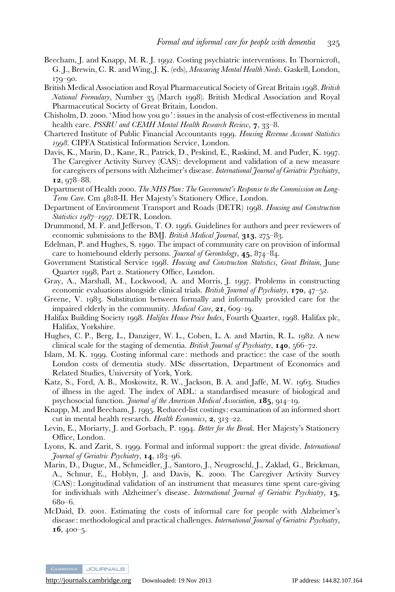- Beecham, J. and Knapp, M. R. J. 1992. Costing psychiatric interventions. In Thornicroft, G. J., Brewin, C. R. and Wing, J. K. (eds), Measuring Mental Health Needs. Gaskell, London, 179–90.
- British Medical Association and Royal Pharmaceutical Society of Great Britain 1998. British National Formulary, Number 35 (March 1998). British Medical Association and Royal Pharmaceutical Society of Great Britain, London.
- Chisholm, D. 2000. 'Mind how you go': issues in the analysis of cost-effectiveness in mental health care. PSSRU and CEMH Mental Health Research Review, 7, 33-8.
- Chartered Institute of Public Financial Accountants 1999. Housing Revenue Account Statistics 1998. CIPFA Statistical Information Service, London.
- Davis, K., Marin, D., Kane, R., Patrick, D., Peskind, E., Raskind, M. and Puder, K. 1997. The Caregiver Activity Survey (CAS): development and validation of a new measure for caregivers of persons with Alzheimer's disease. International Journal of Geriatric Psychiatry, 12, 978–88.
- Department of Health 2000. The NHS Plan: The Government's Response to the Commission on Long-Term Care. Cm 4818-II. Her Majesty's Stationery Office, London.
- Department of Environment Transport and Roads (DETR) 1998. Housing and Construction Statistics 1987–1997. DETR, London.
- Drummond, M. F. and Jefferson, T. O. 1996. Guidelines for authors and peer reviewers of economic submissions to the BMJ. British Medical Journal, 313, 275–83.
- Edelman, P. and Hughes, S. 1990. The impact of community care on provision of informal care to homebound elderly persons. *Journal of Gerontology*, 45, 874–84.
- Government Statistical Service 1998. Housing and Construction Statistics, Great Britain, June Quarter 1998, Part 2. Stationery Office, London.
- Gray, A., Marshall, M., Lockwood, A. and Morris, J. 1997. Problems in constructing economic evaluations alongside clinical trials. British Journal of Psychiatry,  $170, 47-52$ .
- Greene, V. 1983. Substitution between formally and informally provided care for the impaired elderly in the community. *Medical Care*, 21, 600–10.
- Halifax Building Society 1998. Halifax House Price Index, Fourth Quarter, 1998. Halifax plc, Halifax, Yorkshire.
- Hughes, C. P., Berg, L., Danziger, W. L., Coben, L. A. and Martin, R. L. 1982. A new clinical scale for the staging of dementia. British Journal of Psychiatry, 140, 566–72.
- Islam, M. K. 1999. Costing informal care: methods and practice: the case of the south London costs of dementia study. MSc dissertation, Department of Economics and Related Studies, University of York, York.
- Katz, S., Ford, A. B., Moskowitz, R. W., Jackson, B. A. and Jaffe, M. W. 1963. Studies of illness in the aged. The index of ADL: a standardised measure of biological and psychosocial function. Journal of the American Medical Association, 185, 914-19.
- Knapp, M. and Beecham, J. 1995. Reduced-list costings: examination of an informed short cut in mental health research. Health Economics, 2, 313–22.
- Levin, E., Moriarty, J. and Gorbach, P. 1994. Better for the Break. Her Majesty's Stationery Office, London.
- Lyons, K. and Zarit, S. 1999. Formal and informal support: the great divide. International Journal of Geriatric Psychiatry, 14, 183–96.
- Marin, D., Dugue, M., Schmeidler, J., Santoro, J., Neugroschl, J., Zaklad, G., Brickman, A., Schnur, E., Hoblyn, J. and Davis, K. 2000. The Caregiver Activity Survey (CAS): Longitudinal validation of an instrument that measures time spent care-giving for individuals with Alzheimer's disease. International Journal of Geriatric Psychiatry, 15, 680–6.
- McDaid, D. 2001. Estimating the costs of informal care for people with Alzheimer's disease: methodological and practical challenges. *International Journal of Geriatric Psychiatry*,  $16, 400 - 5.$